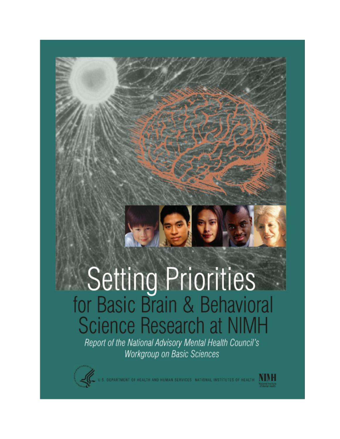# Setting Priorities<br>for Basic Brain & Behavioral **Science Research at NIMH**

Report of the National Advisory Mental Health Council's Workgroup on Basic Sciences



DEPARTMENT OF HEALTH AND HUMAN SERVICES. NATIONAL INSTITUTES OF HEALTH  $\,$   $\rm M$   $\rm M$   $\rm H$ 

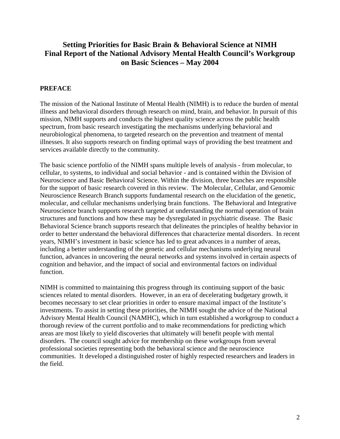# **Setting Priorities for Basic Brain & Behavioral Science at NIMH Final Report of the National Advisory Mental Health Council's Workgroup on Basic Sciences – May 2004**

# **PREFACE**

The mission of the National Institute of Mental Health (NIMH) is to reduce the burden of mental illness and behavioral disorders through research on mind, brain, and behavior. In pursuit of this mission, NIMH supports and conducts the highest quality science across the public health spectrum, from basic research investigating the mechanisms underlying behavioral and neurobiological phenomena, to targeted research on the prevention and treatment of mental illnesses. It also supports research on finding optimal ways of providing the best treatment and services available directly to the community.

The basic science portfolio of the NIMH spans multiple levels of analysis - from molecular, to cellular, to systems, to individual and social behavior - and is contained within the Division of Neuroscience and Basic Behavioral Science. Within the division, three branches are responsible for the support of basic research covered in this review. The Molecular, Cellular, and Genomic Neuroscience Research Branch supports fundamental research on the elucidation of the genetic, molecular, and cellular mechanisms underlying brain functions. The Behavioral and Integrative Neuroscience branch supports research targeted at understanding the normal operation of brain structures and functions and how these may be dysregulated in psychiatric disease. The Basic Behavioral Science branch supports research that delineates the principles of healthy behavior in order to better understand the behavioral differences that characterize mental disorders. In recent years, NIMH's investment in basic science has led to great advances in a number of areas, including a better understanding of the genetic and cellular mechanisms underlying neural function, advances in uncovering the neural networks and systems involved in certain aspects of cognition and behavior, and the impact of social and environmental factors on individual function.

NIMH is committed to maintaining this progress through its continuing support of the basic sciences related to mental disorders. However, in an era of decelerating budgetary growth, it becomes necessary to set clear priorities in order to ensure maximal impact of the Institute's investments. To assist in setting these priorities, the NIMH sought the advice of the National Advisory Mental Health Council (NAMHC), which in turn established a workgroup to conduct a thorough review of the current portfolio and to make recommendations for predicting which areas are most likely to yield discoveries that ultimately will benefit people with mental disorders. The council sought advice for membership on these workgroups from several professional societies representing both the behavioral science and the neuroscience communities. It developed a distinguished roster of highly respected researchers and leaders in the field.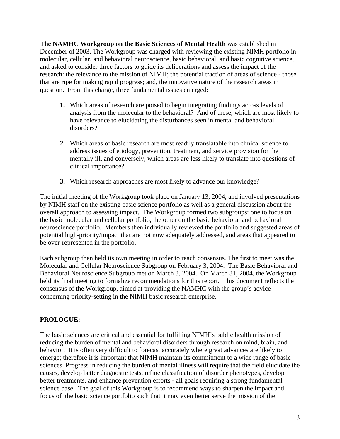**The NAMHC Workgroup on the Basic Sciences of Mental Health** was established in December of 2003. The Workgroup was charged with reviewing the existing NIMH portfolio in molecular, cellular, and behavioral neuroscience, basic behavioral, and basic cognitive science, and asked to consider three factors to guide its deliberations and assess the impact of the research: the relevance to the mission of NIMH; the potential traction of areas of science - those that are ripe for making rapid progress; and, the innovative nature of the research areas in question. From this charge, three fundamental issues emerged:

- **1.** Which areas of research are poised to begin integrating findings across levels of analysis from the molecular to the behavioral? And of these, which are most likely to have relevance to elucidating the disturbances seen in mental and behavioral disorders?
- **2.** Which areas of basic research are most readily translatable into clinical science to address issues of etiology, prevention, treatment, and service provision for the mentally ill, and conversely, which areas are less likely to translate into questions of clinical importance?
- **3.** Which research approaches are most likely to advance our knowledge?

The initial meeting of the Workgroup took place on January 13, 2004, and involved presentations by NIMH staff on the existing basic science portfolio as well as a general discussion about the overall approach to assessing impact. The Workgroup formed two subgroups: one to focus on the basic molecular and cellular portfolio, the other on the basic behavioral and behavioral neuroscience portfolio. Members then individually reviewed the portfolio and suggested areas of potential high-priority/impact that are not now adequately addressed, and areas that appeared to be over-represented in the portfolio.

Each subgroup then held its own meeting in order to reach consensus. The first to meet was the Molecular and Cellular Neuroscience Subgroup on February 3, 2004. The Basic Behavioral and Behavioral Neuroscience Subgroup met on March 3, 2004. On March 31, 2004, the Workgroup held its final meeting to formalize recommendations for this report. This document reflects the consensus of the Workgroup, aimed at providing the NAMHC with the group's advice concerning priority-setting in the NIMH basic research enterprise.

## **PROLOGUE:**

The basic sciences are critical and essential for fulfilling NIMH's public health mission of reducing the burden of mental and behavioral disorders through research on mind, brain, and behavior. It is often very difficult to forecast accurately where great advances are likely to emerge; therefore it is important that NIMH maintain its commitment to a wide range of basic sciences. Progress in reducing the burden of mental illness will require that the field elucidate the causes, develop better diagnostic tests, refine classification of disorder phenotypes, develop better treatments, and enhance prevention efforts - all goals requiring a strong fundamental science base. The goal of this Workgroup is to recommend ways to sharpen the impact and focus of the basic science portfolio such that it may even better serve the mission of the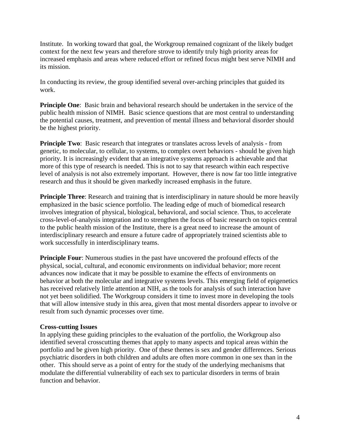Institute. In working toward that goal, the Workgroup remained cognizant of the likely budget context for the next few years and therefore strove to identify truly high priority areas for increased emphasis and areas where reduced effort or refined focus might best serve NIMH and its mission.

In conducting its review, the group identified several over-arching principles that guided its work.

**Principle One:** Basic brain and behavioral research should be undertaken in the service of the public health mission of NIMH. Basic science questions that are most central to understanding the potential causes, treatment, and prevention of mental illness and behavioral disorder should be the highest priority.

**Principle Two**: Basic research that integrates or translates across levels of analysis - from genetic, to molecular, to cellular, to systems, to complex overt behaviors - should be given high priority. It is increasingly evident that an integrative systems approach is achievable and that more of this type of research is needed. This is not to say that research within each respective level of analysis is not also extremely important. However, there is now far too little integrative research and thus it should be given markedly increased emphasis in the future.

**Principle Three:** Research and training that is interdisciplinary in nature should be more heavily emphasized in the basic science portfolio. The leading edge of much of biomedical research involves integration of physical, biological, behavioral, and social science. Thus, to accelerate cross-level-of-analysis integration and to strengthen the focus of basic research on topics central to the public health mission of the Institute, there is a great need to increase the amount of interdisciplinary research and ensure a future cadre of appropriately trained scientists able to work successfully in interdisciplinary teams.

**Principle Four:** Numerous studies in the past have uncovered the profound effects of the physical, social, cultural, and economic environments on individual behavior; more recent advances now indicate that it may be possible to examine the effects of environments on behavior at both the molecular and integrative systems levels. This emerging field of epigenetics has received relatively little attention at NIH, as the tools for analysis of such interaction have not yet been solidified. The Workgroup considers it time to invest more in developing the tools that will allow intensive study in this area, given that most mental disorders appear to involve or result from such dynamic processes over time.

#### **Cross-cutting Issues**

In applying these guiding principles to the evaluation of the portfolio, the Workgroup also identified several crosscutting themes that apply to many aspects and topical areas within the portfolio and be given high priority. One of these themes is sex and gender differences. Serious psychiatric disorders in both children and adults are often more common in one sex than in the other. This should serve as a point of entry for the study of the underlying mechanisms that modulate the differential vulnerability of each sex to particular disorders in terms of brain function and behavior.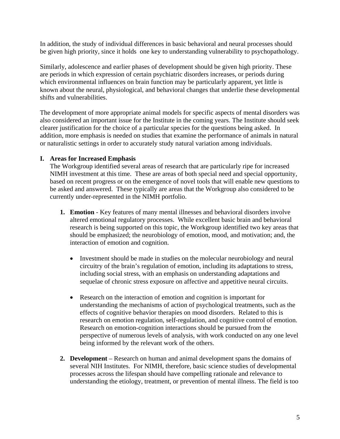In addition, the study of individual differences in basic behavioral and neural processes should be given high priority, since it holds one key to understanding vulnerability to psychopathology.

Similarly, adolescence and earlier phases of development should be given high priority. These are periods in which expression of certain psychiatric disorders increases, or periods during which environmental influences on brain function may be particularly apparent, yet little is known about the neural, physiological, and behavioral changes that underlie these developmental shifts and vulnerabilities.

The development of more appropriate animal models for specific aspects of mental disorders was also considered an important issue for the Institute in the coming years. The Institute should seek clearer justification for the choice of a particular species for the questions being asked. In addition, more emphasis is needed on studies that examine the performance of animals in natural or naturalistic settings in order to accurately study natural variation among individuals.

## **I. Areas for Increased Emphasis**

The Workgroup identified several areas of research that are particularly ripe for increased NIMH investment at this time. These are areas of both special need and special opportunity, based on recent progress or on the emergence of novel tools that will enable new questions to be asked and answered. These typically are areas that the Workgroup also considered to be currently under-represented in the NIMH portfolio.

- **1. Emotion**  Key features of many mental illnesses and behavioral disorders involve altered emotional regulatory processes. While excellent basic brain and behavioral research is being supported on this topic, the Workgroup identified two key areas that should be emphasized; the neurobiology of emotion, mood, and motivation; and, the interaction of emotion and cognition.
	- Investment should be made in studies on the molecular neurobiology and neural circuitry of the brain's regulation of emotion, including its adaptations to stress, including social stress, with an emphasis on understanding adaptations and sequelae of chronic stress exposure on affective and appetitive neural circuits.
	- Research on the interaction of emotion and cognition is important for understanding the mechanisms of action of psychological treatments, such as the effects of cognitive behavior therapies on mood disorders. Related to this is research on emotion regulation, self-regulation, and cognitive control of emotion. Research on emotion-cognition interactions should be pursued from the perspective of numerous levels of analysis, with work conducted on any one level being informed by the relevant work of the others.
- **2. Development** Research on human and animal development spans the domains of several NIH Institutes. For NIMH, therefore, basic science studies of developmental processes across the lifespan should have compelling rationale and relevance to understanding the etiology, treatment, or prevention of mental illness. The field is too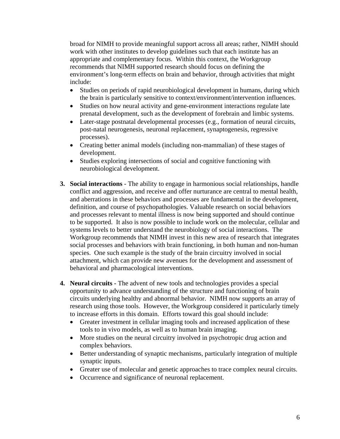broad for NIMH to provide meaningful support across all areas; rather, NIMH should work with other institutes to develop guidelines such that each institute has an appropriate and complementary focus. Within this context, the Workgroup recommends that NIMH supported research should focus on defining the environment's long-term effects on brain and behavior, through activities that might include:

- Studies on periods of rapid neurobiological development in humans, during which the brain is particularly sensitive to context/environment/intervention influences.
- Studies on how neural activity and gene-environment interactions regulate late prenatal development, such as the development of forebrain and limbic systems.
- Later-stage postnatal developmental processes (e.g., formation of neural circuits, post-natal neurogenesis, neuronal replacement, synaptogenesis, regressive processes).
- Creating better animal models (including non-mammalian) of these stages of development.
- Studies exploring intersections of social and cognitive functioning with neurobiological development.
- **3. Social interactions**  The ability to engage in harmonious social relationships, handle conflict and aggression, and receive and offer nurturance are central to mental health, and aberrations in these behaviors and processes are fundamental in the development, definition, and course of psychopathologies. Valuable research on social behaviors and processes relevant to mental illness is now being supported and should continue to be supported. It also is now possible to include work on the molecular, cellular and systems levels to better understand the neurobiology of social interactions. The Workgroup recommends that NIMH invest in this new area of research that integrates social processes and behaviors with brain functioning, in both human and non-human species. One such example is the study of the brain circuitry involved in social attachment, which can provide new avenues for the development and assessment of behavioral and pharmacological interventions.
- **4. Neural circuits** The advent of new tools and technologies provides a special opportunity to advance understanding of the structure and functioning of brain circuits underlying healthy and abnormal behavior. NIMH now supports an array of research using those tools. However, the Workgroup considered it particularly timely to increase efforts in this domain. Efforts toward this goal should include:
	- Greater investment in cellular imaging tools and increased application of these tools to in vivo models, as well as to human brain imaging.
	- More studies on the neural circuitry involved in psychotropic drug action and complex behaviors.
	- Better understanding of synaptic mechanisms, particularly integration of multiple synaptic inputs.
	- Greater use of molecular and genetic approaches to trace complex neural circuits.
	- Occurrence and significance of neuronal replacement.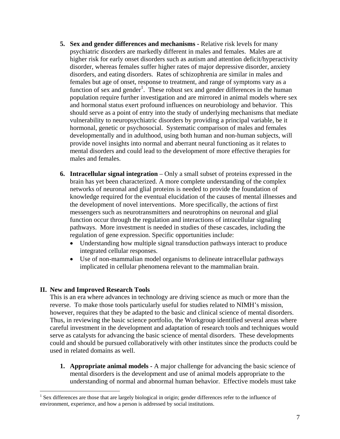- **5. Sex and gender differences and mechanisms Relative risk levels for many** psychiatric disorders are markedly different in males and females. Males are at higher risk for early onset disorders such as autism and attention deficit/hyperactivity disorder, whereas females suffer higher rates of major depressive disorder, anxiety disorders, and eating disorders. Rates of schizophrenia are similar in males and females but age of onset, response to treatment, and range of symptoms vary as a function of sex and gender<sup>[1](#page-6-0)</sup>. These robust sex and gender differences in the human population require further investigation and are mirrored in animal models where sex and hormonal status exert profound influences on neurobiology and behavior. This should serve as a point of entry into the study of underlying mechanisms that mediate vulnerability to neuropsychiatric disorders by providing a principal variable, be it hormonal, genetic or psychosocial. Systematic comparison of males and females developmentally and in adulthood, using both human and non-human subjects, will provide novel insights into normal and aberrant neural functioning as it relates to mental disorders and could lead to the development of more effective therapies for males and females.
- **6. Intracellular signal integration** Only a small subset of proteins expressed in the brain has yet been characterized. A more complete understanding of the complex networks of neuronal and glial proteins is needed to provide the foundation of knowledge required for the eventual elucidation of the causes of mental illnesses and the development of novel interventions. More specifically, the actions of first messengers such as neurotransmitters and neurotrophins on neuronal and glial function occur through the regulation and interactions of intracellular signaling pathways. More investment is needed in studies of these cascades, including the regulation of gene expression. Specific opportunities include:
	- Understanding how multiple signal transduction pathways interact to produce integrated cellular responses.
	- Use of non-mammalian model organisms to delineate intracellular pathways implicated in cellular phenomena relevant to the mammalian brain.

#### **II. New and Improved Research Tools**

1

This is an era where advances in technology are driving science as much or more than the reverse. To make those tools particularly useful for studies related to NIMH's mission, however, requires that they be adapted to the basic and clinical science of mental disorders. Thus, in reviewing the basic science portfolio, the Workgroup identified several areas where careful investment in the development and adaptation of research tools and techniques would serve as catalysts for advancing the basic science of mental disorders. These developments could and should be pursued collaboratively with other institutes since the products could be used in related domains as well.

**1. Appropriate animal models -** A major challenge for advancing the basic science of mental disorders is the development and use of animal models appropriate to the understanding of normal and abnormal human behavior. Effective models must take

<span id="page-6-0"></span><sup>&</sup>lt;sup>1</sup> Sex differences are those that are largely biological in origin; gender differences refer to the influence of environment, experience, and how a person is addressed by social institutions.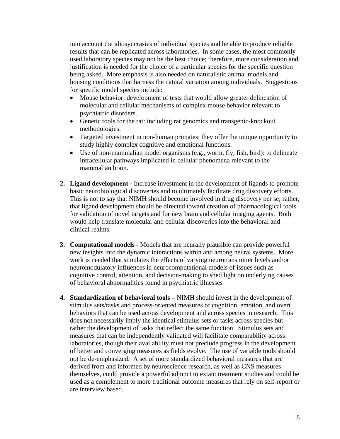into account the idiosyncrasies of individual species and be able to produce reliable results that can be replicated across laboratories**.** In some cases, the most commonly used laboratory species may not be the best choice; therefore, more consideration and justification is needed for the choice of a particular species for the specific question being asked. More emphasis is also needed on naturalistic animal models and housing conditions that harness the natural variation among individuals. Suggestions for specific model species include:

- Mouse behavior: development of tests that would allow greater delineation of molecular and cellular mechanisms of complex mouse behavior relevant to psychiatric disorders.
- Genetic tools for the rat: including rat genomics and transgenic-knockout methodologies.
- Targeted investment in non-human primates: they offer the unique opportunity to study highly complex cognitive and emotional functions.
- Use of non-mammalian model organisms (e.g., worm, fly, fish, bird): to delineate intracellular pathways implicated in cellular phenomena relevant to the mammalian brain.
- **2. Ligand development** Increase investment in the development of ligands to promote basic neurobiological discoveries and to ultimately facilitate drug discovery efforts. This is not to say that NIMH should become involved in drug discovery per se; rather, that ligand development should be directed toward creation of pharmacological tools for validation of novel targets and for new brain and cellular imaging agents. Both would help translate molecular and cellular discoveries into the behavioral and clinical realms.
- **3. Computational models** Models that are neurally plausible can provide powerful new insights into the dynamic interactions within and among neural systems. More work is needed that simulates the effects of varying neurotransmitter levels and/or neuromodulatory influences in neurocomputational models of issues such as cognitive control, attention, and decision-making to shed light on underlying causes of behavioral abnormalities found in psychiatric illnesses
- **4. Standardization of behavioral tools** NIMH should invest in the development of stimulus sets/tasks and process-oriented measures of cognition, emotion, and overt behaviors that can be used across development and across species in research. This does not necessarily imply the identical stimulus sets or tasks across species but rather the development of tasks that reflect the same function. Stimulus sets and measures that can be independently validated will facilitate comparability across laboratories, though their availability must not preclude progress in the development of better and converging measures as fields evolve. The use of variable tools should not be de-emphasized. A set of more standardized behavioral measures that are derived from and informed by neuroscience research, as well as CNS measures themselves, could provide a powerful adjunct to extant treatment studies and could be used as a complement to more traditional outcome measures that rely on self-report or are interview based.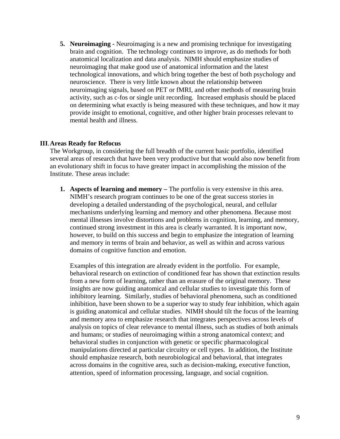**5. Neuroimaging -** Neuroimaging is a new and promising technique for investigating brain and cognition. The technology continues to improve, as do methods for both anatomical localization and data analysis. NIMH should emphasize studies of neuroimaging that make good use of anatomical information and the latest technological innovations, and which bring together the best of both psychology and neuroscience. There is very little known about the relationship between neuroimaging signals, based on PET or fMRI, and other methods of measuring brain activity, such as c-fos or single unit recording. Increased emphasis should be placed on determining what exactly is being measured with these techniques, and how it may provide insight to emotional, cognitive, and other higher brain processes relevant to mental health and illness.

#### **III**.**Areas Ready for Refocus**

The Workgroup, in considering the full breadth of the current basic portfolio, identified several areas of research that have been very productive but that would also now benefit from an evolutionary shift in focus to have greater impact in accomplishing the mission of the Institute. These areas include:

**1. Aspects of learning and memory –** The portfolio is very extensive in this area. NIMH's research program continues to be one of the great success stories in developing a detailed understanding of the psychological, neural, and cellular mechanisms underlying learning and memory and other phenomena. Because most mental illnesses involve distortions and problems in cognition, learning, and memory, continued strong investment in this area is clearly warranted. It is important now, however, to build on this success and begin to emphasize the integration of learning and memory in terms of brain and behavior, as well as within and across various domains of cognitive function and emotion.

Examples of this integration are already evident in the portfolio. For example, behavioral research on extinction of conditioned fear has shown that extinction results from a new form of learning, rather than an erasure of the original memory. These insights are now guiding anatomical and cellular studies to investigate this form of inhibitory learning. Similarly, studies of behavioral phenomena, such as conditioned inhibition, have been shown to be a superior way to study fear inhibition, which again is guiding anatomical and cellular studies. NIMH should tilt the focus of the learning and memory area to emphasize research that integrates perspectives across levels of analysis on topics of clear relevance to mental illness, such as studies of both animals and humans; or studies of neuroimaging within a strong anatomical context; and behavioral studies in conjunction with genetic or specific pharmacological manipulations directed at particular circuitry or cell types. In addition, the Institute should emphasize research, both neurobiological and behavioral, that integrates across domains in the cognitive area, such as decision-making, executive function, attention, speed of information processing, language, and social cognition.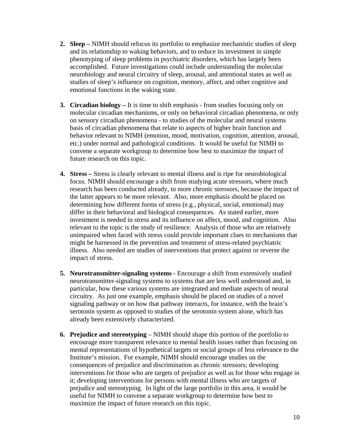- **2. Sleep** NIMH should refocus its portfolio to emphasize mechanistic studies of sleep and its relationship to waking behaviors, and to reduce its investment in simple phenotyping of sleep problems in psychiatric disorders, which has largely been accomplished. Future investigations could include understanding the molecular neurobiology and neural circuitry of sleep, arousal, and attentional states as well as studies of sleep's influence on cognition, memory, affect, and other cognitive and emotional functions in the waking state.
- **3. Circadian biology** It is time to shift emphasis from studies focusing only on molecular circadian mechanisms, or only on behavioral circadian phenomena, or only on sensory circadian phenomena - to studies of the molecular and neural systems basis of circadian phenomena that relate to aspects of higher brain function and behavior relevant to NIMH (emotion, mood, motivation, cognition, attention, arousal, etc.) under normal and pathological conditions. It would be useful for NIMH to convene a separate workgroup to determine how best to maximize the impact of future research on this topic.
- **4. Stress** Stress is clearly relevant to mental illness and is ripe for neurobiological focus. NIMH should encourage a shift from studying acute stressors, where much research has been conducted already, to more chronic stressors, because the impact of the latter appears to be more relevant. Also, more emphasis should be placed on determining how different forms of stress (e.g., physical, social, emotional) may differ in their behavioral and biological consequences. As stated earlier, more investment is needed in stress and its influence on affect, mood, and cognition. Also relevant to the topic is the study of resilience. Analysis of those who are relatively unimpaired when faced with stress could provide important clues to mechanisms that might be harnessed in the prevention and treatment of stress-related psychiatric illness. Also needed are studies of interventions that protect against or reverse the impact of stress.
- **5. Neurotransmitter-signaling systems**  Encourage a shift from extensively studied neurotransmitter-signaling systems to systems that are less well understood and, in particular, how these various systems are integrated and mediate aspects of neural circuitry. As just one example, emphasis should be placed on studies of a novel signaling pathway or on how that pathway interacts, for instance, with the brain's serotonin system as opposed to studies of the serotonin system alone, which has already been extensively characterized.
- **6. Prejudice and stereotyping** NIMH should shape this portion of the portfolio to encourage more transparent relevance to mental health issues rather than focusing on mental representations of hypothetical targets or social groups of less relevance to the Institute's mission. For example, NIMH should encourage studies on the consequences of prejudice and discrimination as chronic stressors; developing interventions for those who are targets of prejudice as well as for those who engage in it; developing interventions for persons with mental illness who are targets of prejudice and stereotyping. In light of the large portfolio in this area, it would be useful for NIMH to convene a separate workgroup to determine how best to maximize the impact of future research on this topic.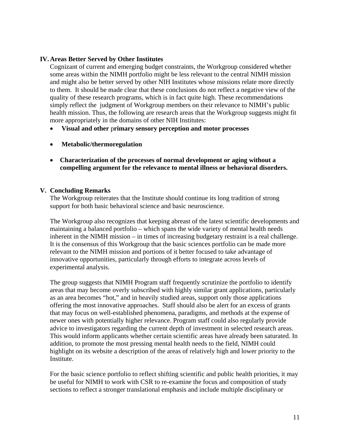#### **IV. Areas Better Served by Other Institutes**

Cognizant of current and emerging budget constraints, the Workgroup considered whether some areas within the NIMH portfolio might be less relevant to the central NIMH mission and might also be better served by other NIH Institutes whose missions relate more directly to them. It should be made clear that these conclusions do not reflect a negative view of the quality of these research programs, which is in fact quite high. These recommendations simply reflect the judgment of Workgroup members on their relevance to NIMH's public health mission. Thus, the following are research areas that the Workgroup suggests might fit more appropriately in the domains of other NIH Institutes:

- **Visual and other** p**rimary sensory perception and motor processes**
- **Metabolic/thermoregulation**
- **Characterization of the processes of normal development or aging without a compelling argument for the relevance to mental illness or behavioral disorders.**

#### **V. Concluding Remarks**

The Workgroup reiterates that the Institute should continue its long tradition of strong support for both basic behavioral science and basic neuroscience.

The Workgroup also recognizes that keeping abreast of the latest scientific developments and maintaining a balanced portfolio – which spans the wide variety of mental health needs inherent in the NIMH mission – in times of increasing budgetary restraint is a real challenge. It is the consensus of this Workgroup that the basic sciences portfolio can be made more relevant to the NIMH mission and portions of it better focused to take advantage of innovative opportunities, particularly through efforts to integrate across levels of experimental analysis.

The group suggests that NIMH Program staff frequently scrutinize the portfolio to identify areas that may become overly subscribed with highly similar grant applications, particularly as an area becomes "hot," and in heavily studied areas, support only those applications offering the most innovative approaches. Staff should also be alert for an excess of grants that may focus on well-established phenomena, paradigms, and methods at the expense of newer ones with potentially higher relevance. Program staff could also regularly provide advice to investigators regarding the current depth of investment in selected research areas. This would inform applicants whether certain scientific areas have already been saturated. In addition, to promote the most pressing mental health needs to the field, NIMH could highlight on its website a description of the areas of relatively high and lower priority to the **Institute** 

For the basic science portfolio to reflect shifting scientific and public health priorities, it may be useful for NIMH to work with CSR to re-examine the focus and composition of study sections to reflect a stronger translational emphasis and include multiple disciplinary or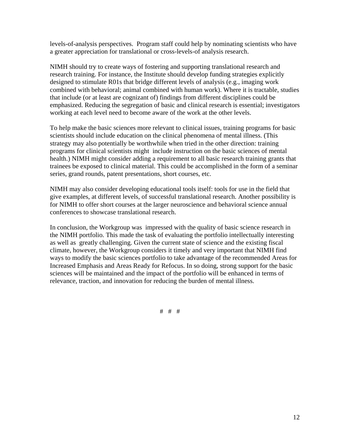levels-of-analysis perspectives. Program staff could help by nominating scientists who have a greater appreciation for translational or cross-levels-of analysis research.

NIMH should try to create ways of fostering and supporting translational research and research training. For instance, the Institute should develop funding strategies explicitly designed to stimulate R01s that bridge different levels of analysis (e.g., imaging work combined with behavioral; animal combined with human work). Where it is tractable, studies that include (or at least are cognizant of) findings from different disciplines could be emphasized. Reducing the segregation of basic and clinical research is essential; investigators working at each level need to become aware of the work at the other levels.

To help make the basic sciences more relevant to clinical issues, training programs for basic scientists should include education on the clinical phenomena of mental illness. (This strategy may also potentially be worthwhile when tried in the other direction: training programs for clinical scientists might include instruction on the basic sciences of mental health.) NIMH might consider adding a requirement to all basic research training grants that trainees be exposed to clinical material. This could be accomplished in the form of a seminar series, grand rounds, patent presentations, short courses, etc.

NIMH may also consider developing educational tools itself: tools for use in the field that give examples, at different levels, of successful translational research. Another possibility is for NIMH to offer short courses at the larger neuroscience and behavioral science annual conferences to showcase translational research.

In conclusion, the Workgroup was impressed with the quality of basic science research in the NIMH portfolio. This made the task of evaluating the portfolio intellectually interesting as well as greatly challenging. Given the current state of science and the existing fiscal climate, however, the Workgroup considers it timely and very important that NIMH find ways to modify the basic sciences portfolio to take advantage of the recommended Areas for Increased Emphasis and Areas Ready for Refocus. In so doing, strong support for the basic sciences will be maintained and the impact of the portfolio will be enhanced in terms of relevance, traction, and innovation for reducing the burden of mental illness.

# # #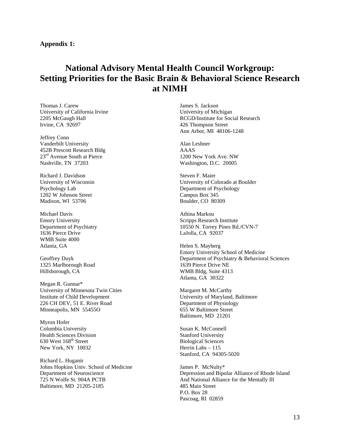# **National Advisory Mental Health Council Workgroup: Setting Priorities for the Basic Brain & Behavioral Science Research at NIMH**

Thomas J. Carew University of California Irvine 2205 McGaugh Hall Irvine, CA 92697

Jeffrey Conn Vanderbilt University 452B Prescott Research Bldg 23<sup>rd</sup> Avenue South at Pierce Nashville, TN 37203

Richard J. Davidson University of Wisconsin Psychology Lab 1202 W Johnson Street Madison, WI 53706

Michael Davis Emory University Department of Psychiatry 1636 Pierce Drive WMB Suite 4000 Atlanta, GA

Geoffrey Duyk 1325 Marlborough Road Hillsborough, CA

Megan R. Gunnar\* University of Minnesota Twin Cities Institute of Child Development 226 CH DEV, 51 E. River Road Minneapolis, MN 55455O

Myron Hofer Columbia University Health Sciences Division 630 West 168<sup>th</sup> Street New York, NY 10032

Richard L. Huganir Johns Hopkins Univ. School of Medicine Department of Neuroscience 725 N Wolfe St. 904A PCTB Baltimore, MD 21205-2185

James S. Jackson University of Michigan RCGD/Institute for Social Research 426 Thompson Street Ann Arbor, MI 48106-1248

Alan Leshner AAAS 1200 New York Ave. NW Washington, D.C. 20005

Steven F. Maier University of Colorado at Boulder Department of Psychology Campus Box 345 Boulder, CO 80309

Athina Markou Scripps Research Institute 10550 N. Torrey Pines Rd./CVN-7 LaJolla, CA 92037

Helen S. Mayberg Emory University School of Medicine Department of Psychiatry & Behavioral Sciences 1639 Pierce Drive NE WMB Bldg, Suite 4313 Atlanta, GA 30322

Margaret M. McCarthy University of Maryland, Baltimore Department of Physiology 655 W Baltimore Street Baltimore, MD 21201

Susan K. McConnell Stanford University Biological Sciences Herrin Labs – 115 Stanford, CA 94305-5020

James P. McNulty\* Depression and Bipolar Alliance of Rhode Island And National Alliance for the Mentally Ill 485 Main Street P.O. Box 28 Pascoag, RI 02859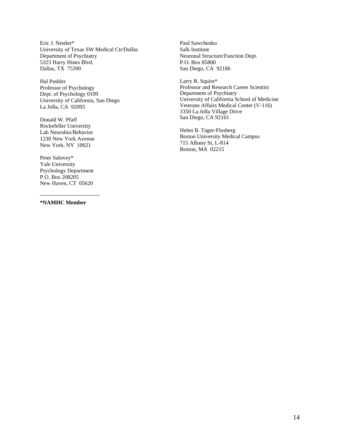Eric J. Nestler\* Paul Sawchenko University of Texas SW Medical Ctr/Dallas Salk Institute Department of Psychiatry Neuronal Structure/Function Dept. 5323 Harry Hines Blvd. P.O. Box 85800 Dallas, TX 75390 San Diego, CA 92186

Hal Pashler Larry R. Squire\* Dept. of Psychology 0109<br>University of California, San Diego

Rockefeller University Helen B. Tager-Flusberg Lab Neurobio/Behavior

Peter Salovey\* Yale University Psychology Department P.O. Box 208205 New Haven, CT 05620

**\*NAMHC Member**

Professor of Psychology<br>
Professor and Research Career Scientist<br>
Department of Psychiatry<br>
Professor and Research Career Scientist<br>
Department of Psychiatry University of California School of Medicine La Jolla, CA 92093 Veterans Affairs Medical Center (V-116) 3350 La Jolla Village Drive San Diego, CA 92161 Donald W. Pfaff

Boston University Medical Campus<br>
1230 New York Avenue<br>
New York NV 10021<br>
115 Albany St, L-814 715 Albany St, L-81<br>Boston, MA 02215